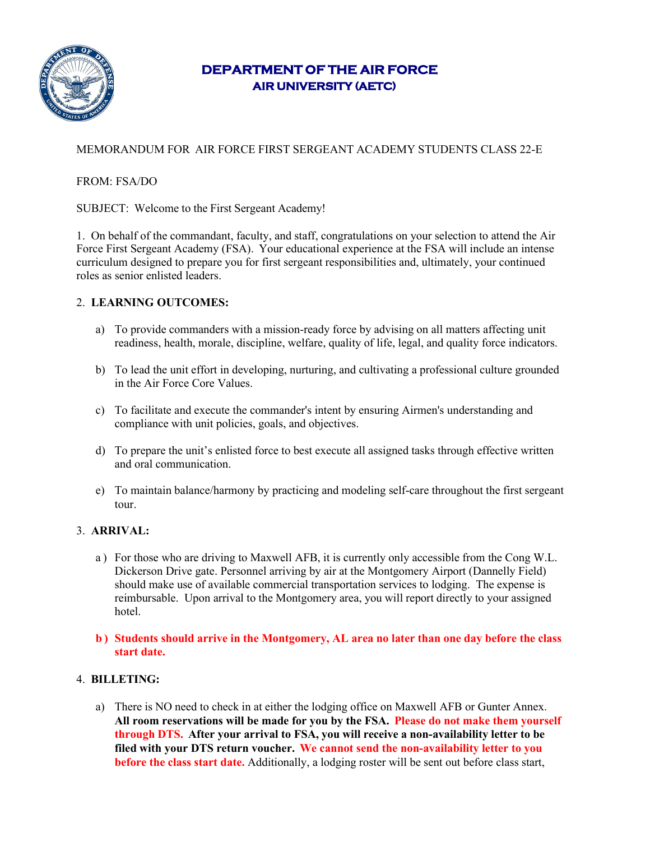

# **DEPARTMENT OF THE AIR FORCE AIR UNIVERSITY (AETC)**

## MEMORANDUM FOR AIR FORCE FIRST SERGEANT ACADEMY STUDENTS CLASS 22-E

### FROM: FSA/DO

SUBJECT: Welcome to the First Sergeant Academy!

1. On behalf of the commandant, faculty, and staff, congratulations on your selection to attend the Air Force First Sergeant Academy (FSA). Your educational experience at the FSA will include an intense curriculum designed to prepare you for first sergeant responsibilities and, ultimately, your continued roles as senior enlisted leaders.

### 2. **LEARNING OUTCOMES:**

- a) To provide commanders with a mission-ready force by advising on all matters affecting unit readiness, health, morale, discipline, welfare, quality of life, legal, and quality force indicators.
- b) To lead the unit effort in developing, nurturing, and cultivating a professional culture grounded in the Air Force Core Values.
- c) To facilitate and execute the commander's intent by ensuring Airmen's understanding and compliance with unit policies, goals, and objectives.
- d) To prepare the unit's enlisted force to best execute all assigned tasks through effective written and oral communication.
- e) To maintain balance/harmony by practicing and modeling self-care throughout the first sergeant tour.

### 3. **ARRIVAL:**

- a ) For those who are driving to Maxwell AFB, it is currently only accessible from the Cong W.L. Dickerson Drive gate. Personnel arriving by air at the Montgomery Airport (Dannelly Field) should make use of available commercial transportation services to lodging. The expense is reimbursable. Upon arrival to the Montgomery area, you will report directly to your assigned hotel.
- **b ) Students should arrive in the Montgomery, AL area no later than one day before the class start date.**

### 4. **BILLETING:**

a) There is NO need to check in at either the lodging office on Maxwell AFB or Gunter Annex. **All room reservations will be made for you by the FSA. Please do not make them yourself through DTS. After your arrival to FSA, you will receive a non-availability letter to be filed with your DTS return voucher. We cannot send the non-availability letter to you before the class start date.** Additionally, a lodging roster will be sent out before class start,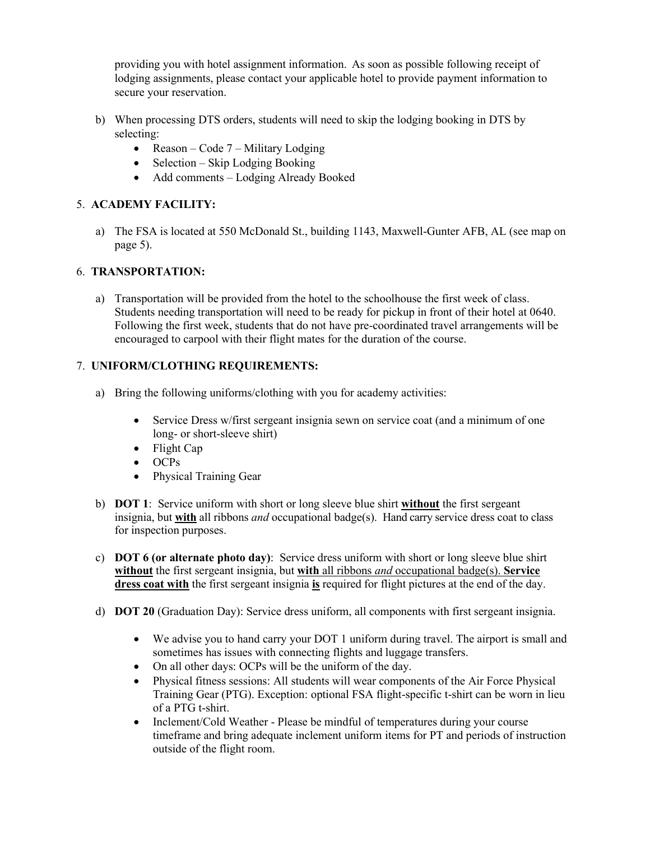providing you with hotel assignment information. As soon as possible following receipt of lodging assignments, please contact your applicable hotel to provide payment information to secure your reservation.

- b) When processing DTS orders, students will need to skip the lodging booking in DTS by selecting:
	- Reason Code 7 Military Lodging
	- Selection Skip Lodging Booking
	- Add comments Lodging Already Booked

### 5. **ACADEMY FACILITY:**

a) The FSA is located at 550 McDonald St., building 1143, Maxwell-Gunter AFB, AL (see map on page 5).

### 6. **TRANSPORTATION:**

a) Transportation will be provided from the hotel to the schoolhouse the first week of class. Students needing transportation will need to be ready for pickup in front of their hotel at 0640. Following the first week, students that do not have pre-coordinated travel arrangements will be encouraged to carpool with their flight mates for the duration of the course.

### 7. **UNIFORM/CLOTHING REQUIREMENTS:**

- a) Bring the following uniforms/clothing with you for academy activities:
	- Service Dress w/first sergeant insignia sewn on service coat (and a minimum of one long- or short-sleeve shirt)
	- Flight Cap
	- OCPs
	- Physical Training Gear
- b) **DOT 1**: Service uniform with short or long sleeve blue shirt **without** the first sergeant insignia, but **with** all ribbons *and* occupational badge(s). Hand carry service dress coat to class for inspection purposes.
- c) **DOT 6 (or alternate photo day)**: Service dress uniform with short or long sleeve blue shirt **without** the first sergeant insignia, but **with** all ribbons *and* occupational badge(s). **Service dress coat with** the first sergeant insignia **is** required for flight pictures at the end of the day.
- d) **DOT 20** (Graduation Day): Service dress uniform, all components with first sergeant insignia.
	- We advise you to hand carry your DOT 1 uniform during travel. The airport is small and sometimes has issues with connecting flights and luggage transfers.
	- On all other days: OCPs will be the uniform of the day.
	- Physical fitness sessions: All students will wear components of the Air Force Physical Training Gear (PTG). Exception: optional FSA flight-specific t-shirt can be worn in lieu of a PTG t-shirt.
	- Inclement/Cold Weather Please be mindful of temperatures during your course timeframe and bring adequate inclement uniform items for PT and periods of instruction outside of the flight room.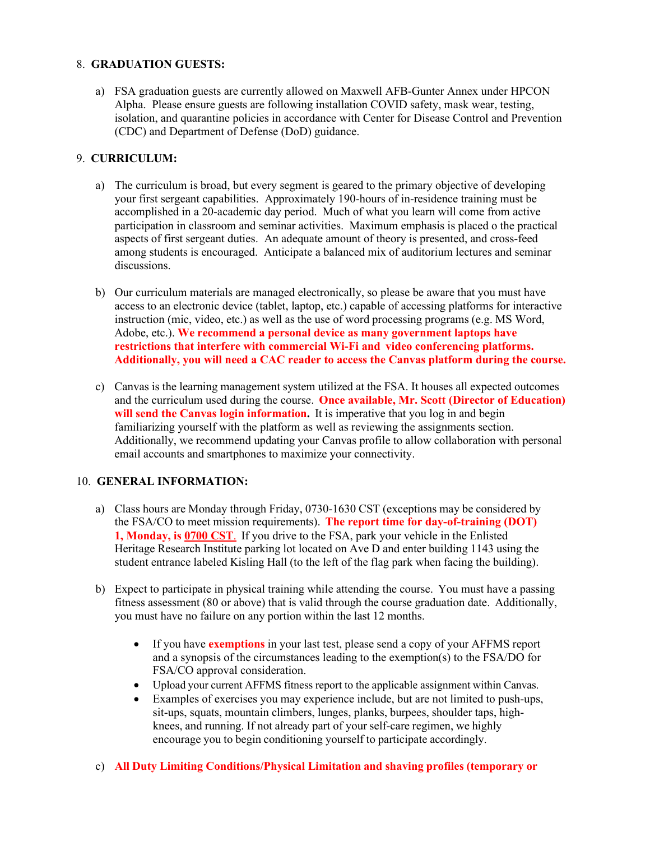#### 8. **GRADUATION GUESTS:**

a) FSA graduation guests are currently allowed on Maxwell AFB-Gunter Annex under HPCON Alpha. Please ensure guests are following installation COVID safety, mask wear, testing, isolation, and quarantine policies in accordance with Center for Disease Control and Prevention (CDC) and Department of Defense (DoD) guidance.

### 9. **CURRICULUM:**

- a) The curriculum is broad, but every segment is geared to the primary objective of developing your first sergeant capabilities. Approximately 190-hours of in-residence training must be accomplished in a 20-academic day period. Much of what you learn will come from active participation in classroom and seminar activities. Maximum emphasis is placed o the practical aspects of first sergeant duties. An adequate amount of theory is presented, and cross-feed among students is encouraged. Anticipate a balanced mix of auditorium lectures and seminar discussions.
- b) Our curriculum materials are managed electronically, so please be aware that you must have access to an electronic device (tablet, laptop, etc.) capable of accessing platforms for interactive instruction (mic, video, etc.) as well as the use of word processing programs (e.g. MS Word, Adobe, etc.). **We recommend a personal device as many government laptops have restrictions that interfere with commercial Wi-Fi and video conferencing platforms. Additionally, you will need a CAC reader to access the Canvas platform during the course.**
- c) Canvas is the learning management system utilized at the FSA. It houses all expected outcomes and the curriculum used during the course. **Once available, Mr. Scott (Director of Education) will send the Canvas login information.** It is imperative that you log in and begin familiarizing yourself with the platform as well as reviewing the assignments section. Additionally, we recommend updating your Canvas profile to allow collaboration with personal email accounts and smartphones to maximize your connectivity.

#### 10. **GENERAL INFORMATION:**

- a) Class hours are Monday through Friday, 0730-1630 CST (exceptions may be considered by the FSA/CO to meet mission requirements). **The report time for day-of-training (DOT) 1, Monday, is 0700 CST**. If you drive to the FSA, park your vehicle in the Enlisted Heritage Research Institute parking lot located on Ave D and enter building 1143 using the student entrance labeled Kisling Hall (to the left of the flag park when facing the building).
- b) Expect to participate in physical training while attending the course. You must have a passing fitness assessment (80 or above) that is valid through the course graduation date. Additionally, you must have no failure on any portion within the last 12 months.
	- If you have **exemptions** in your last test, please send a copy of your AFFMS report and a synopsis of the circumstances leading to the exemption(s) to the FSA/DO for FSA/CO approval consideration.
	- Upload your current AFFMS fitness report to the applicable assignment within Canvas.
	- Examples of exercises you may experience include, but are not limited to push-ups, sit-ups, squats, mountain climbers, lunges, planks, burpees, shoulder taps, highknees, and running. If not already part of your self-care regimen, we highly encourage you to begin conditioning yourself to participate accordingly.
- c) **All Duty Limiting Conditions/Physical Limitation and shaving profiles (temporary or**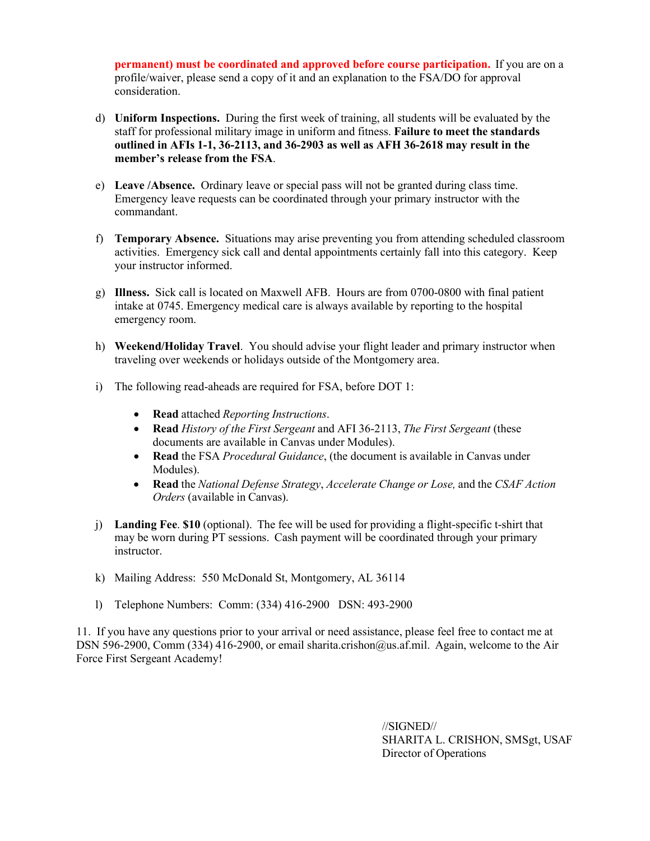**permanent) must be coordinated and approved before course participation.** If you are on a profile/waiver, please send a copy of it and an explanation to the FSA/DO for approval consideration.

- d) **Uniform Inspections.** During the first week of training, all students will be evaluated by the staff for professional military image in uniform and fitness. **Failure to meet the standards outlined in AFIs 1-1, 36-2113, and 36-2903 as well as AFH 36-2618 may result in the member's release from the FSA**.
- e) **Leave /Absence.** Ordinary leave or special pass will not be granted during class time. Emergency leave requests can be coordinated through your primary instructor with the commandant.
- f) **Temporary Absence.** Situations may arise preventing you from attending scheduled classroom activities. Emergency sick call and dental appointments certainly fall into this category. Keep your instructor informed.
- g) **Illness.** Sick call is located on Maxwell AFB. Hours are from 0700-0800 with final patient intake at 0745. Emergency medical care is always available by reporting to the hospital emergency room.
- h) **Weekend/Holiday Travel**. You should advise your flight leader and primary instructor when traveling over weekends or holidays outside of the Montgomery area.
- i) The following read-aheads are required for FSA, before DOT 1:
	- **Read** attached *Reporting Instructions*.
	- **Read** *History of the First Sergeant* and AFI 36-2113, *The First Sergeant* (these documents are available in Canvas under Modules).
	- **Read** the FSA *Procedural Guidance*, (the document is available in Canvas under Modules).
	- **Read** the *National Defense Strategy*, *Accelerate Change or Lose,* and the *CSAF Action Orders* (available in Canvas).
- j) **Landing Fee**. **\$10** (optional). The fee will be used for providing a flight-specific t-shirt that may be worn during PT sessions. Cash payment will be coordinated through your primary instructor.
- k) Mailing Address: 550 McDonald St, Montgomery, AL 36114
- l) Telephone Numbers: Comm: (334) 416-2900 DSN: 493-2900

11. If you have any questions prior to your arrival or need assistance, please feel free to contact me at DSN 596-2900, Comm (334) 416-2900, or email sharita.crishon@us.af.mil. Again, welcome to the Air Force First Sergeant Academy!

> //SIGNED// SHARITA L. CRISHON, SMSgt, USAF Director of Operations